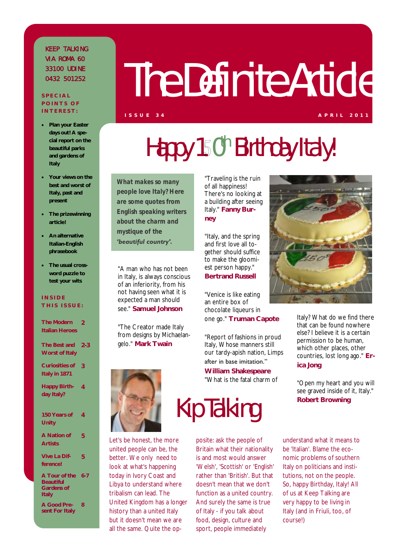### K F F P TAI K IN G VIA ROMA 60 33100 UDINE 0 4 3 2 5 0 1 2 5 2

**S P E C I A L P O I N T S O F I N T E R E S T :**

# The Definite Article

- **Plan your Easter days out! A special report on the beautiful parks and gardens of Italy**
- **Your views on the best and worst of Italy, past and present**
- **The prizewinning article!**
- **An alternative Italian-English phrasebook**
- **The usual crossword puzzle to test your wits**

### **I N S I D E T H I S I S S U E :**

| The Modern<br>Italian Heroes                      | 2       |
|---------------------------------------------------|---------|
| The Best and 2-3<br>Worst of Italy                |         |
| Curiosities of<br>Italy in 1871                   | 3       |
| Happy Birth-<br>day Italy?                        | 4       |
| 150 Years of<br>Unity                             | 4       |
| A Nation of<br><b>Artists</b>                     | 5       |
| Vive La Dif-<br>ference!                          | 5       |
| A Tour of the<br>Beautiful<br>Gardens of<br>Italy | $6 - 7$ |
| A Good Pre-<br>sent For Italy                     | 8       |

## Happy 150<sup>th</sup> Birthday Italy!

*What makes so many people love Italy? Here are some quotes from English speaking writers about the charm and mystique of the "beautiful country".*

"A man who has not been in Italy, is always conscious of an inferiority, from his not having seen what it is expected a man should see." **Samuel Johnson**

"The Creator made Italy from designs by Michaelangelo." **Mark Twain**



Let's be honest, the more united people can be, the better. We only need to look at what's happening today in Ivory Coast and Libya to understand where tribalism can lead. The United Kingdom has a longer history than a united Italy but it doesn't mean we are all the same. Quite the op-

"Traveling is the ruin of all happiness! There's no looking at a building after seeing Italy." **Fanny Burney**

"Italy, and the spring and first love all together should suffice to make the gloomiest person happy." **Bertrand Russell**

"Venice is like eating an entire box of chocolate liqueurs in one go." **Truman Capote**

"Report of fashions in proud Italy, Whose manners still our tardy-apish nation, Limps

after in base imitation." **William Shakespeare** 

"What is the fatal charm of



Italy? What do we find there that can be found nowhere else? I believe it is a certain permission to be human, which other places, other countries, lost long ago." **Erica Jong**

"Open my heart and you will see graved inside of it, Italy." **Robert Browning** 

## Kip Talking

posite: ask the people of Britain what their nationality is and most would answer 'Welsh', 'Scottish' or 'English' rather than 'British'. But that doesn't mean that we don't function as a united country. And surely the same is true of Italy - if you talk about food, design, culture and sport, people immediately

understand what it means to be 'Italian'. Blame the economic problems of southern Italy on politicians and institutions, not on the people. So, happy Birthday, Italy! All of us at Keep Talking are very happy to be living in Italy (and in Friuli, too, of course!)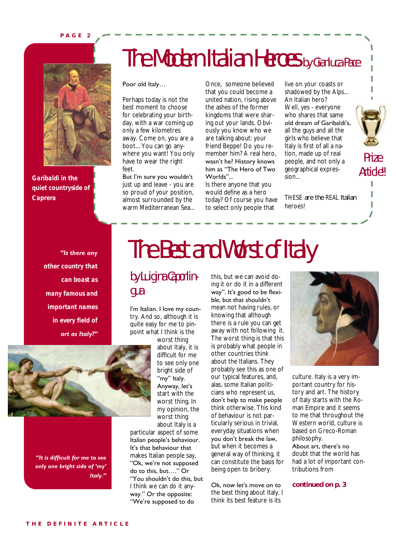#### **P A G E 2**



*Garibaldi in the quiet countryside of Caprera*

### The Modern Italian Heroes by Gianluca Pace

#### Poor old Italy…

Perhaps today is not the best moment to choose for celebrating your birthday, with a war coming up only a few kilometres away. Come on, you are a boot... You can go anywhere you want! You only have to wear the right feet.

But I'm sure you wouldn't just up and leave - you are so proud of your position, almost surrounded by the warm Mediterranean Sea...

Once, someone believed that you could become a united nation, rising above the ashes of the former kingdoms that were sharing out your lands. Obviously you know who we are talking about: your friend Beppe! Do you remember him? A real hero, wasn"t he? History knows him as "The Hero of Two Worlds"...

Is there anyone that you would define as a hero today? Of course you have to select only people that

live on your coasts or shadowed by the Alps... An Italian hero? Well, yes - everyone who shares that same old dream of Garibaldi"s, all the guys and all the girls who believe that Italy is first of all a nation, made up of real people, and not only a geographical expression...

*THESE* are the *REAL* Italian heroes!

#### *"Is there any*

*other country that can boast as many famous and important names in every field of art as Italy?"*



*"It is difficult for me to see only one bright side of "my" Italy."*

### The Best and Worst of Italy

### by Luigina Caporlingua

I'm Italian. I love my country. And so, although it is quite easy for me to pinpoint what I think is the

worst thing about Italy, it is difficult for me to see only one bright side of "my" Italy. Anyway, let's start with the worst thing. In my opinion, the worst thing about Italy is a

particular aspect of some Italian people"s behaviour. It's that behaviour that makes Italian people say, "Ok, we"re not supposed do to this, but…." Or "You shouldn"t do this, but I think we can do it anyway." Or the opposite: "We"re supposed to do

this, but we can avoid doing it or do it in a different way". It's good to be flexible, but that shouldn"t mean not having rules, or knowing that although there is a rule you can get away with not following it. The worst thing is that this is probably what people in other countries think about the Italians. They probably see this as one of our typical features, and, alas, some Italian politicians who represent us, don"t help to make people think otherwise. This kind of behaviour is not particularly serious in trivial, everyday situations when you don"t break the law, but when it becomes a general way of thinking, it can constitute the basis for being open to bribery.

#### Ok, now let's move on to the best thing about Italy. I think its best feature is its



culture. Italy is a very important country for history and art. The history of Italy starts with the Roman Empire and it seems to me that throughout the Western world, culture is based on Greco-Roman philosophy.

About art, there"s no doubt that the world has had a lot of important contributions from

**continued on p. 3** 

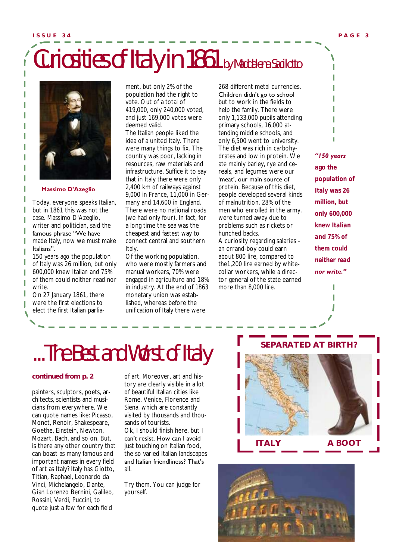## Curiosities of Italy in 1861 by Maddalena Sacilotto



#### **Massimo D'Azeglio**

Today, everyone speaks Italian, but in 1861 this was not the case. Massimo D'Azeglio, writer and politician, said the famous phrase "We have made Italy, now we must make Italians".

150 years ago the population of Italy was 26 million, but only 600,000 knew Italian and 75% of them could neither read nor write.

On 27 January 1861, there were the first elections to elect the first Italian parliament, but only 2% of the population had the right to vote. Out of a total of 419,000, only 240,000 voted, and just 169,000 votes were deemed valid.

The Italian people liked the idea of a united Italy. There were many things to fix. The country was poor, lacking in resources, raw materials and infrastructure. Suffice it to say that in Italy there were only 2,400 km of railways against 9,000 in France, 11,000 in Germany and 14,600 in England. There were no national roads (we had only four). In fact, for a long time the sea was the cheapest and fastest way to connect central and southern Italy.

Of the working population, who were mostly farmers and manual workers, 70% were engaged in agriculture and 18% in industry. At the end of 1863 monetary union was established, whereas before the unification of Italy there were

268 different metal currencies. Children didn"t go to school

but to work in the fields to help the family. There were only 1,133,000 pupils attending primary schools, 16,000 attending middle schools, and only 6,500 went to university. The diet was rich in carbohydrates and low in protein. We ate mainly barley, rye and cereals, and legumes were our 'meat', our main source of protein. Because of this diet, people developed several kinds of malnutrition. 28% of the men who enrolled in the army, were turned away due to problems such as rickets or hunched backs.

A curiosity regarding salaries an errand-boy could earn about 800 lire, compared to the1,200 lire earned by whitecollar workers, while a director general of the state earned more than 8,000 lire.



*"150 years* 

*ago the population of Italy was 26 million, but only 600,000 knew Italian and 75% of them could neither read nor write."*

ľ

### ...The Best and Worst of Italy

#### **continued from p. 2**

painters, sculptors, poets, architects, scientists and musicians from everywhere. We can quote names like: Picasso, Monet, Renoir, Shakespeare, Goethe, Einstein, Newton, Mozart, Bach, and so on. But, is there any other country that can boast as many famous and important names in every field of art as Italy? Italy has Giotto, Titian, Raphael, Leonardo da Vinci, Michelangelo, Dante, Gian Lorenzo Bernini, Galileo, Rossini, Verdi, Puccini, to quote just a few for each field

of art. Moreover, art and history are clearly visible in a lot of beautiful Italian cities like Rome, Venice, Florence and Siena, which are constantly visited by thousands and thousands of tourists.

Ok, I should finish here, but I can"t resist. How can I avoid just touching on Italian food, the so varied Italian landscapes and Italian friendliness? That"s all.

Try them. You can judge for yourself.

### **SEPARATED AT BIRTH?**



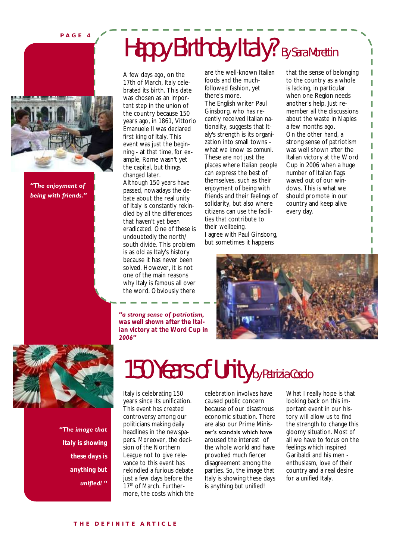**P A G E 4**



*"The enjoyment of being with friends."*

A few days ago, on the 17th of March, Italy celebrated its birth. This date was chosen as an important step in the union of the country because 150 years ago, in 1861, Vittorio Emanuele II was declared first king of Italy. This event was just the beginning - at that time, for example, Rome wasn't yet the capital, but things changed later. Although 150 years have passed, nowadays the debate about the real unity of Italy is constantly rekindled by all the differences that haven't yet been eradicated. One of these is undoubtedly the north/ south divide. This problem is as old as Italy's history because it has never been solved. However, it is not one of the main reasons

why Italy is famous all over the word. Obviously there

*"a strong sense of patriotism, was well shown after the Italian victory at the Word Cup in* 

are the well-known Italian foods and the muchfollowed fashion, yet there's more.

Happy Birthday Italy? By Sara Morettin

The English writer Paul Ginsborg, who has recently received Italian nationality, suggests that Italy's strength is its organization into small towns what we know as *comuni*. These are not just the places where Italian people can express the best of themselves, such as their enjoyment of being with friends and their feelings of solidarity, but also where citizens can use the facilities that contribute to their wellbeing. I agree with Paul Ginsborg, but sometimes it happens

that the sense of belonging to the country as a whole is lacking, in particular when one Region needs another's help. Just remember all the discussions about the waste in Naples a few months ago. On the other hand, a strong sense of patriotism was well shown after the Italian victory at the Word Cup in 2006 when a huge number of Italian flags waved out of our windows. This is what we should promote in our country and keep alive every day.

I





*"The image that Italy is showing these days is anything but unified! "*

### 150 Years of Unity by Patrizia Cosolo

Italy is celebrating 150 years since its unification. This event has created controversy among our politicians making daily headlines in the newspapers. Moreover, the decision of the Northern League not to give relevance to this event has rekindled a furious debate just a few days before the 17<sup>th</sup> of March. Furthermore, the costs which the

celebration involves have caused public concern because of our disastrous economic situation. There are also our Prime Minister"s scandals which have aroused the interest of the whole world and have provoked much fiercer disagreement among the parties. So, the image that Italy is showing these days is anything but unified!

What I really hope is that looking back on this important event in our history will allow us to find the strength to change this gloomy situation. Most of all we have to focus on the feelings which inspired Garibaldi and his men enthusiasm, love of their country and a real desire for a unified Italy.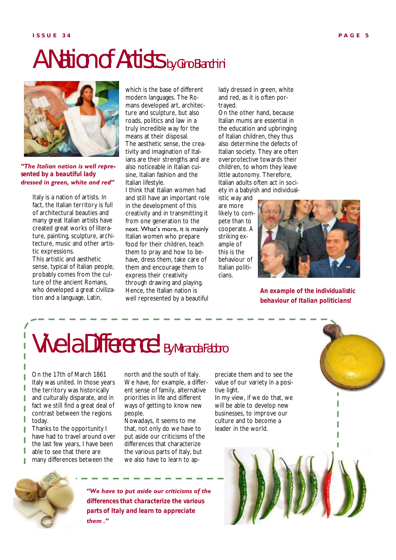### A Nation of Artists by Gino Bianchini



*"The Italian nation is well represented by a beautiful lady dressed in green, white and red"*

Italy is a nation of artists. In fact, the Italian territory is full of architectural beauties and many great Italian artists have created great works of literature, painting, sculpture, architecture, music and other artistic expressions.

This artistic and aesthetic sense, typical of Italian people, probably comes from the culture of the ancient Romans, who developed a great civilization and a language, Latin,

which is the base of different modern languages. The Romans developed art, architecture and sculpture, but also roads, politics and law in a truly incredible way for the means at their disposal. The aesthetic sense, the creativity and imagination of Italians are their strengths and are also noticeable in Italian cuisine, Italian fashion and the Italian lifestyle.

I think that Italian women had and still have an important role in the development of this creativity and in transmitting it from one generation to the next. What"s more, it is mainly Italian women who prepare food for their children, teach them to pray and how to behave, dress them, take care of them and encourage them to express their creativity through drawing and playing. Hence, the Italian nation is well represented by a beautiful

lady dressed in green, white and red, as it is often portrayed.

On the other hand, because Italian mums are essential in the education and upbringing of Italian children, they thus also determine the defects of Italian society. They are often overprotective towards their children, to whom they leave little autonomy. Therefore, Italian adults often act in society in a babyish and individual-

istic way and are more likely to compete than to cooperate. A striking example of this is the behaviour of Italian politicians.



*An example of the individualistic behaviour of Italian politicians!*

### Vive la Difference! By Miranda Fabbro

On the 17th of March 1861 Italy was united. In those years the territory was historically and culturally disparate, and in fact we still find a great deal of contrast between the regions today.

Thanks to the opportunity I have had to travel around over the last few years, I have been able to see that there are

many differences between the

north and the south of Italy. We have, for example, a different sense of family, alternative priorities in life and different ways of getting to know new people.

Nowadays, it seems to me that, not only do we have to put aside our criticisms of the differences that characterize the various parts of Italy, but we also have to learn to appreciate them and to see the value of our variety in a positive light.

In my view, if we do that, we will be able to develop new businesses, to improve our culture and to become a leader in the world.





Γ

*"We have to put aside our criticisms of the differences that characterize the various parts of Italy and learn to appreciate them ."*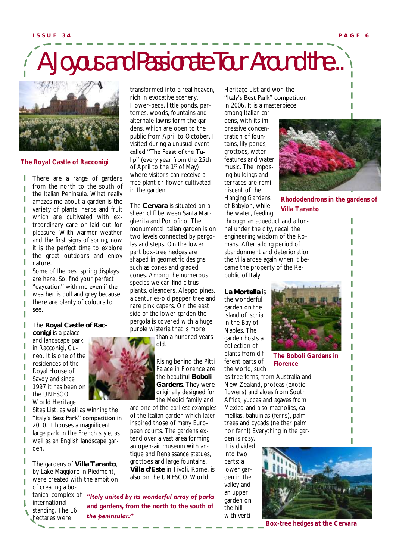## A Joyous and Passionate Tour Around the...



*The Royal Castle of Racconigi*

There are a range of gardens from the north to the south of the Italian Peninsula. What really amazes me about a garden is the variety of plants, herbs and fruit which are cultivated with extraordinary care or laid out for pleasure. With warmer weather and the first signs of spring, now it is the perfect time to explore the great outdoors and enjoy nature.

Some of the best spring displays are here. So, find your perfect "daycation" with me even if the weather is dull and grey because there are plenty of colours to see.

The **Royal Castle of Rac-**

**conigi** is a palace and landscape park in Racconigi, Cuneo. It is one of the residences of the Royal House of Savoy and since 1997 it has been on the UNESCO World Heritage

Sites List, as well as winning the "Italy's Best Park" competition in 2010. It houses a magnificent large park in the French style, as well as an English landscape garden.

The gardens of **Villa Taranto**, by Lake Maggiore in Piedmont, were created with the ambition of creating a botanical complex of international

standing. The 16 hectares were



transformed into a real heaven, rich in evocative scenery. Flower-beds, little ponds, parterres, woods, fountains and alternate lawns form the gardens, which are open to the public from April to October. I visited during a unusual event called "The Feast of the Tulip" (every year from the 25th of April to the 1st of May) where visitors can receive a free plant or flower cultivated in the garden.

The **Cervara** is situated on a sheer cliff between Santa Margherita and Portofino. The monumental Italian garden is on two levels connected by pergolas and steps. On the lower part box-tree hedges are shaped in geometric designs such as cones and graded cones. Among the numerous species we can find citrus plants, oleanders, Aleppo pines, a centuries-old pepper tree and rare pink capers. On the east side of the lower garden the pergola is covered with a huge purple wisteria that is more

> than a hundred years old.

> > Rising behind the Pitti Palace in Florence are the beautiful **Boboli Gardens**. They were originally designed for the Medici family and

are one of the earliest examples of the Italian garden which later inspired those of many European courts. The gardens extend over a vast area forming an open-air museum with antique and Renaissance statues, grottoes and large fountains. **Villa d'Este** in Tivoli, Rome, is also on the UNESCO World

*"Italy united by its wonderful array of parks and gardens, from the north to the south of the peninsular."*

Heritage List and won the "Italy"s Best Park" competition

in 2006. It is a masterpiece among Italian gardens, with its impressive concentration of fountains, lily ponds, grottoes, water features and water music. The imposing buildings and terraces are reminiscent of the Hanging Gardens of Babylon, while the water, feeding



*Rhododendrons in the gardens of Villa Taranto*

through an aqueduct and a tunnel under the city, recall the engineering wisdom of the Romans. After a long period of abandonment and deterioration the villa arose again when it became the property of the Republic of Italy.

**La Mortella** is the wonderful garden on the island of Ischia, in the Bay of Naples. The garden hosts a collection of plants from different parts of the world, such



*The Boboli Gardens in Florence*

as tree ferns, from Australia and New Zealand, proteas (exotic flowers) and aloes from South Africa, yuccas and agaves from Mexico and also magnolias, camellias, bahuinias (ferns), palm trees and cycads (neither palm nor fern!) Everything in the gar-

den is rosy. It is divided into two parts: a lower garden in the valley and an upper garden on the hill with verti-



*Box-tree hedges at the Cervara*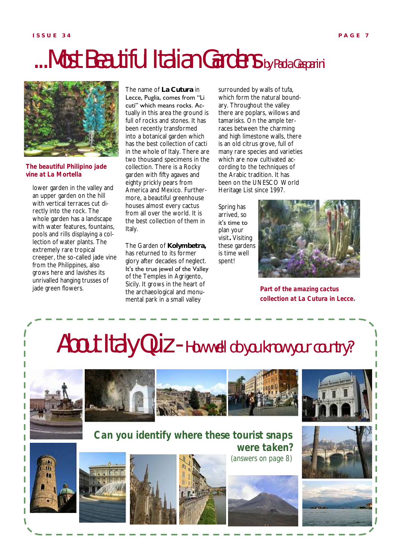### ...Most Beautiful Italian Gardens by Paola Gasparini



*The beautiful Philipino jade vine at La Mortella*

lower garden in the valley and an upper garden on the hill with vertical terraces cut directly into the rock. The whole garden has a landscape with water features, fountains, pools and rills displaying a collection of water plants. The extremely rare tropical creeper, the so-called jade vine from the Philippines, also grows here and lavishes its unrivalled hanging trusses of jade green flowers.

The name of **La Cutura** in Lecce, Puglia, comes from "Li cuti" which means rocks. Actually in this area the ground is full of rocks and stones. It has been recently transformed into a botanical garden which has the best collection of cacti in the whole of Italy. There are two thousand specimens in the collection. There is a Rocky garden with fifty agaves and eighty prickly pears from America and Mexico. Furthermore, a beautiful greenhouse houses almost every cactus from all over the world. It is the best collection of them in Italy.

The Garden of **Kolymbetra,**  has returned to its former glory after decades of neglect. It's the true jewel of the Valley of the Temples in Agrigento, Sicily. It grows in the heart of the archaeological and monumental park in a small valley

surrounded by walls of tufa, which form the natural boundary. Throughout the valley there are poplars, willows and tamarisks. On the ample terraces between the charming and high limestone walls, there is an old citrus grove, full of many rare species and varieties which are now cultivated according to the techniques of the Arabic tradition. It has been on the UNESCO World Heritage List since 1997.

Spring has arrived, so it's time to plan your visit**.** Visiting these gardens is time well spent!



*Part of the amazing cactus collection at La Cutura in Lecce.*

### About Italy Quiz - How well do you know your country?





### *Can you identify where these tourist snaps were taken?*











*(answers on page 8)*